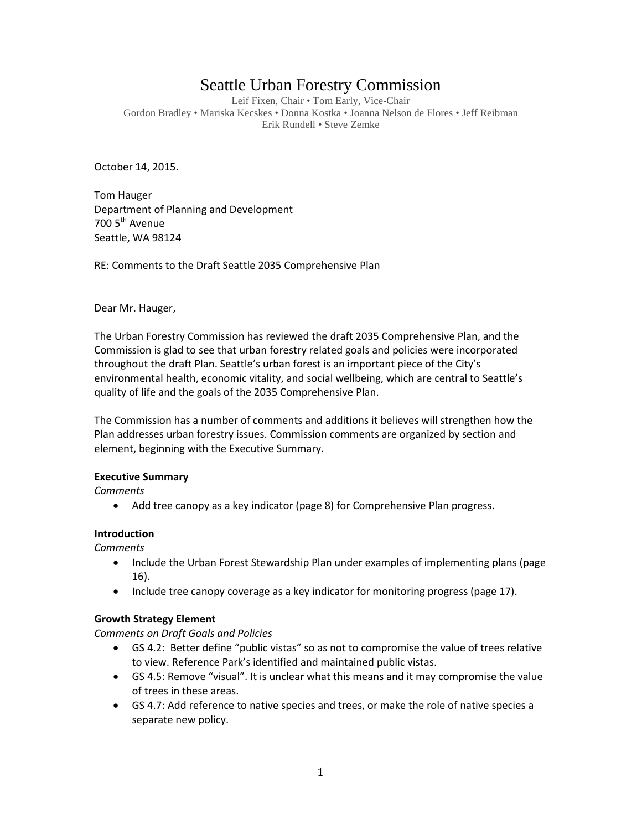# Seattle Urban Forestry Commission

Leif Fixen, Chair • Tom Early, Vice-Chair Gordon Bradley • Mariska Kecskes • Donna Kostka • Joanna Nelson de Flores • Jeff Reibman Erik Rundell • Steve Zemke

October 14, 2015.

Tom Hauger Department of Planning and Development 700 5<sup>th</sup> Avenue Seattle, WA 98124

RE: Comments to the Draft Seattle 2035 Comprehensive Plan

Dear Mr. Hauger,

The Urban Forestry Commission has reviewed the draft 2035 Comprehensive Plan, and the Commission is glad to see that urban forestry related goals and policies were incorporated throughout the draft Plan. Seattle's urban forest is an important piece of the City's environmental health, economic vitality, and social wellbeing, which are central to Seattle's quality of life and the goals of the 2035 Comprehensive Plan.

The Commission has a number of comments and additions it believes will strengthen how the Plan addresses urban forestry issues. Commission comments are organized by section and element, beginning with the Executive Summary.

#### **Executive Summary**

*Comments*

• Add tree canopy as a key indicator (page 8) for Comprehensive Plan progress.

# **Introduction**

*Comments*

- Include the Urban Forest Stewardship Plan under examples of implementing plans (page 16).
- Include tree canopy coverage as a key indicator for monitoring progress (page 17).

# **Growth Strategy Element**

*Comments on Draft Goals and Policies*

- GS 4.2: Better define "public vistas" so as not to compromise the value of trees relative to view. Reference Park's identified and maintained public vistas.
- GS 4.5: Remove "visual". It is unclear what this means and it may compromise the value of trees in these areas.
- GS 4.7: Add reference to native species and trees, or make the role of native species a separate new policy.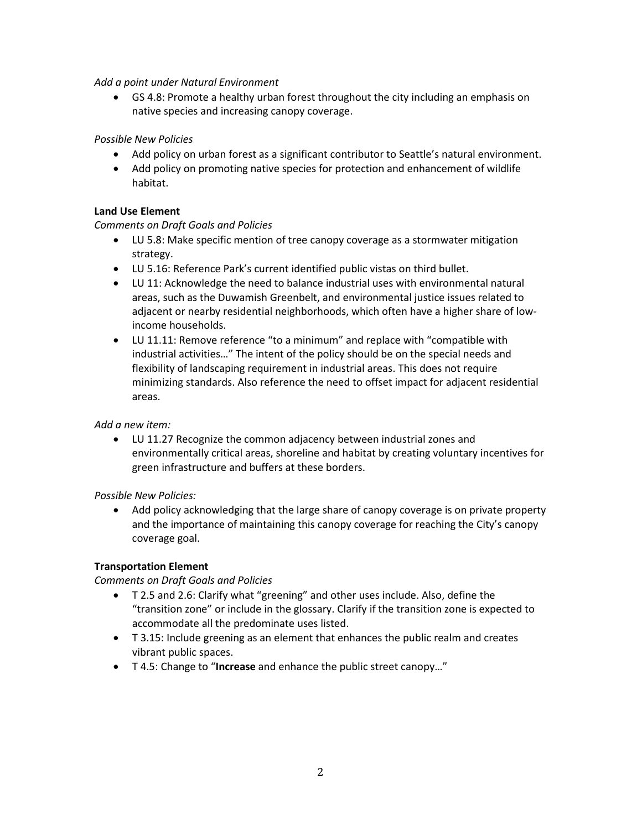## *Add a point under Natural Environment*

• GS 4.8: Promote a healthy urban forest throughout the city including an emphasis on native species and increasing canopy coverage.

# *Possible New Policies*

- Add policy on urban forest as a significant contributor to Seattle's natural environment.
- Add policy on promoting native species for protection and enhancement of wildlife habitat.

# **Land Use Element**

# *Comments on Draft Goals and Policies*

- LU 5.8: Make specific mention of tree canopy coverage as a stormwater mitigation strategy.
- LU 5.16: Reference Park's current identified public vistas on third bullet.
- LU 11: Acknowledge the need to balance industrial uses with environmental natural areas, such as the Duwamish Greenbelt, and environmental justice issues related to adjacent or nearby residential neighborhoods, which often have a higher share of lowincome households.
- LU 11.11: Remove reference "to a minimum" and replace with "compatible with industrial activities…" The intent of the policy should be on the special needs and flexibility of landscaping requirement in industrial areas. This does not require minimizing standards. Also reference the need to offset impact for adjacent residential areas.

# *Add a new item:*

• LU 11.27 Recognize the common adjacency between industrial zones and environmentally critical areas, shoreline and habitat by creating voluntary incentives for green infrastructure and buffers at these borders.

# *Possible New Policies:*

• Add policy acknowledging that the large share of canopy coverage is on private property and the importance of maintaining this canopy coverage for reaching the City's canopy coverage goal.

# **Transportation Element**

# *Comments on Draft Goals and Policies*

- T 2.5 and 2.6: Clarify what "greening" and other uses include. Also, define the "transition zone" or include in the glossary. Clarify if the transition zone is expected to accommodate all the predominate uses listed.
- T 3.15: Include greening as an element that enhances the public realm and creates vibrant public spaces.
- T 4.5: Change to "**Increase** and enhance the public street canopy…"